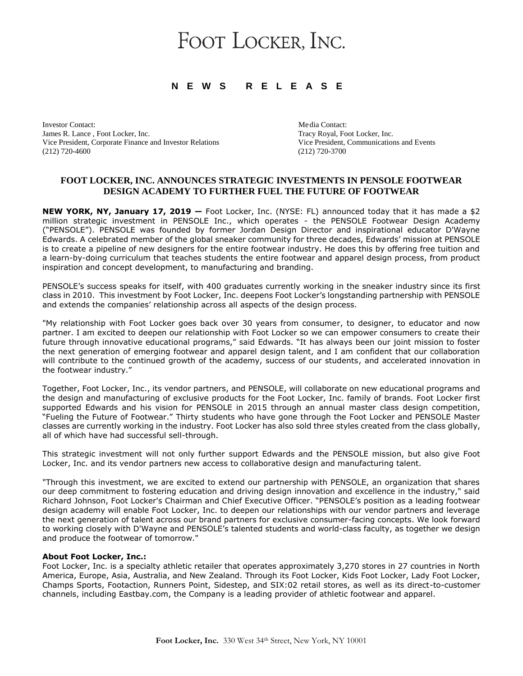# FOOT LOCKER, INC.

# **N E W S R E L E A S E**

Investor Contact: Media Contact: Media Contact: Media Contact: Media Contact: Media Contact: Media Contact: Media Contact: Media Contact: Media Contact: Media Contact:  $\mathbb{R}^n$ James R. Lance, Foot Locker, Inc.<br>
Vice President, Corporate Finance and Investor Relations<br>
Vice President, Communications and Events Vice President, Corporate Finance and Investor Relations (212) 720-4600 (212) 720-3700

## **FOOT LOCKER, INC. ANNOUNCES STRATEGIC INVESTMENTS IN PENSOLE FOOTWEAR DESIGN ACADEMY TO FURTHER FUEL THE FUTURE OF FOOTWEAR**

**NEW YORK, NY, January 17, 2019 —** Foot Locker, Inc. (NYSE: FL) announced today that it has made a \$2 million strategic investment in PENSOLE Inc., which operates - the PENSOLE Footwear Design Academy ("PENSOLE"). PENSOLE was founded by former Jordan Design Director and inspirational educator D'Wayne Edwards. A celebrated member of the global sneaker community for three decades, Edwards' mission at PENSOLE is to create a pipeline of new designers for the entire footwear industry. He does this by offering free tuition and a learn-by-doing curriculum that teaches students the entire footwear and apparel design process, from product inspiration and concept development, to manufacturing and branding.

PENSOLE's success speaks for itself, with 400 graduates currently working in the sneaker industry since its first class in 2010. This investment by Foot Locker, Inc. deepens Foot Locker's longstanding partnership with PENSOLE and extends the companies' relationship across all aspects of the design process.

"My relationship with Foot Locker goes back over 30 years from consumer, to designer, to educator and now partner. I am excited to deepen our relationship with Foot Locker so we can empower consumers to create their future through innovative educational programs," said Edwards. "It has always been our joint mission to foster the next generation of emerging footwear and apparel design talent, and I am confident that our collaboration will contribute to the continued growth of the academy, success of our students, and accelerated innovation in the footwear industry."

Together, Foot Locker, Inc., its vendor partners, and PENSOLE, will collaborate on new educational programs and the design and manufacturing of exclusive products for the Foot Locker, Inc. family of brands. Foot Locker first supported Edwards and his vision for PENSOLE in 2015 through an annual master class design competition, "Fueling the Future of Footwear." Thirty students who have gone through the Foot Locker and PENSOLE Master classes are currently working in the industry. Foot Locker has also sold three styles created from the class globally, all of which have had successful sell-through.

This strategic investment will not only further support Edwards and the PENSOLE mission, but also give Foot Locker, Inc. and its vendor partners new access to collaborative design and manufacturing talent.

"Through this investment, we are excited to extend our partnership with PENSOLE, an organization that shares our deep commitment to fostering education and driving design innovation and excellence in the industry," said Richard Johnson, Foot Locker's Chairman and Chief Executive Officer. "PENSOLE's position as a leading footwear design academy will enable Foot Locker, Inc. to deepen our relationships with our vendor partners and leverage the next generation of talent across our brand partners for exclusive consumer-facing concepts. We look forward to working closely with D'Wayne and PENSOLE's talented students and world-class faculty, as together we design and produce the footwear of tomorrow."

### **About Foot Locker, Inc.:**

Foot Locker, Inc. is a specialty athletic retailer that operates approximately 3,270 stores in 27 countries in North America, Europe, Asia, Australia, and New Zealand. Through its Foot Locker, Kids Foot Locker, Lady Foot Locker, Champs Sports, Footaction, Runners Point, Sidestep, and SIX:02 retail stores, as well as its direct-to-customer channels, including Eastbay.com, the Company is a leading provider of athletic footwear and apparel.